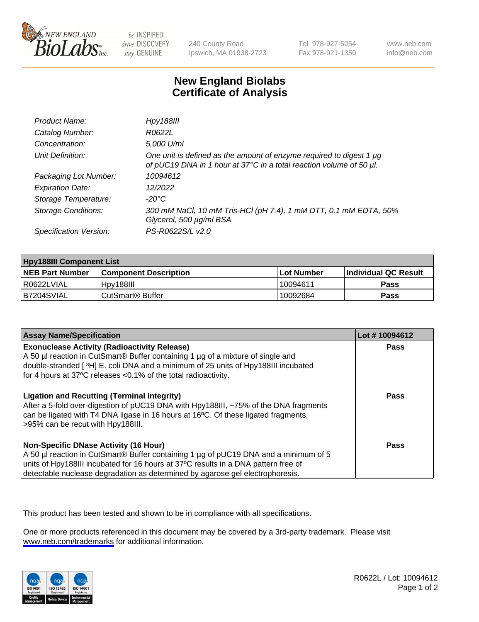

be INSPIRED drive DISCOVERY stay GENUINE

240 County Road Ipswich, MA 01938-2723 Tel 978-927-5054 Fax 978-921-1350

www.neb.com info@neb.com

## **New England Biolabs Certificate of Analysis**

| Product Name:              | <b>Hpy188III</b>                                                                                                                           |
|----------------------------|--------------------------------------------------------------------------------------------------------------------------------------------|
| Catalog Number:            | R0622L                                                                                                                                     |
| Concentration:             | 5,000 U/ml                                                                                                                                 |
| Unit Definition:           | One unit is defined as the amount of enzyme required to digest 1 µg<br>of pUC19 DNA in 1 hour at 37°C in a total reaction volume of 50 µl. |
| Packaging Lot Number:      | 10094612                                                                                                                                   |
| <b>Expiration Date:</b>    | 12/2022                                                                                                                                    |
| Storage Temperature:       | -20°C                                                                                                                                      |
| <b>Storage Conditions:</b> | 300 mM NaCl, 10 mM Tris-HCl (pH 7.4), 1 mM DTT, 0.1 mM EDTA, 50%<br>Glycerol, 500 µg/ml BSA                                                |
| Specification Version:     | PS-R0622S/L v2.0                                                                                                                           |

| <b>Hpy188III Component List</b> |                              |                   |                             |  |
|---------------------------------|------------------------------|-------------------|-----------------------------|--|
| <b>NEB Part Number</b>          | <b>Component Description</b> | <b>Lot Number</b> | <b>Individual QC Result</b> |  |
| I R0622LVIAL                    | Hpv188III                    | 10094611          | <b>Pass</b>                 |  |
| B7204SVIAL                      | l CutSmart® Buffer           | 10092684          | Pass                        |  |

| <b>Assay Name/Specification</b>                                                                                                                                                                                                                                                                             | Lot #10094612 |
|-------------------------------------------------------------------------------------------------------------------------------------------------------------------------------------------------------------------------------------------------------------------------------------------------------------|---------------|
| <b>Exonuclease Activity (Radioactivity Release)</b><br>A 50 µl reaction in CutSmart® Buffer containing 1 µg of a mixture of single and<br>double-stranded [3H] E. coli DNA and a minimum of 25 units of Hpy188III incubated<br>for 4 hours at 37°C releases <0.1% of the total radioactivity.               | Pass          |
| <b>Ligation and Recutting (Terminal Integrity)</b><br>After a 5-fold over-digestion of pUC19 DNA with Hpy188III, ~75% of the DNA fragments<br>can be ligated with T4 DNA ligase in 16 hours at 16°C. Of these ligated fragments,<br>>95% can be recut with Hpy188III.                                       | Pass          |
| <b>Non-Specific DNase Activity (16 Hour)</b><br>A 50 µl reaction in CutSmart® Buffer containing 1 µg of pUC19 DNA and a minimum of 5<br>units of Hpy188III incubated for 16 hours at 37°C results in a DNA pattern free of<br>detectable nuclease degradation as determined by agarose gel electrophoresis. | <b>Pass</b>   |

This product has been tested and shown to be in compliance with all specifications.

One or more products referenced in this document may be covered by a 3rd-party trademark. Please visit <www.neb.com/trademarks>for additional information.